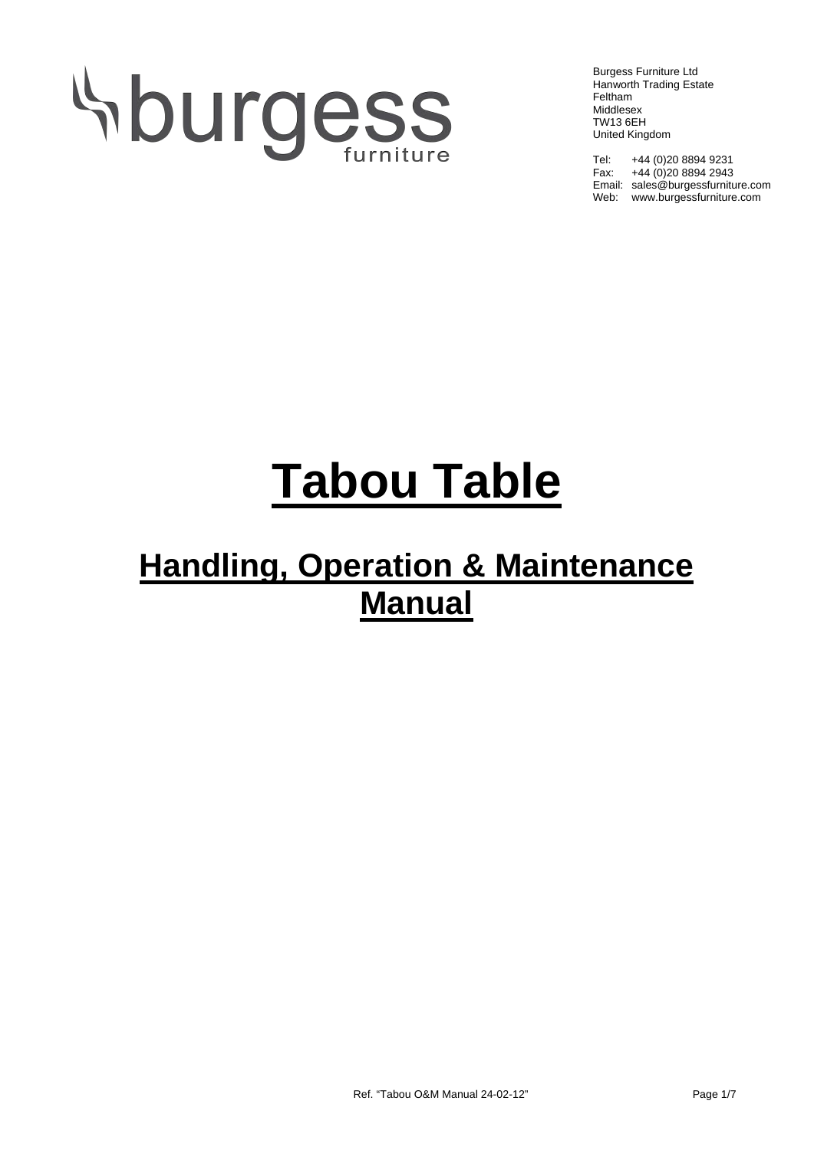# Aburgess

Burgess Furniture Ltd Hanworth Trading Estate Feltham Middlesex TW13 6EH United Kingdom

Tel: +44 (0)20 8894 9231 Fax:  $+44(0)2088942943$ Email: sales@burgessfurniture.com Web: www.burgessfurniture.com

## **Tabou Table**

### **Handling, Operation & Maintenance Manual**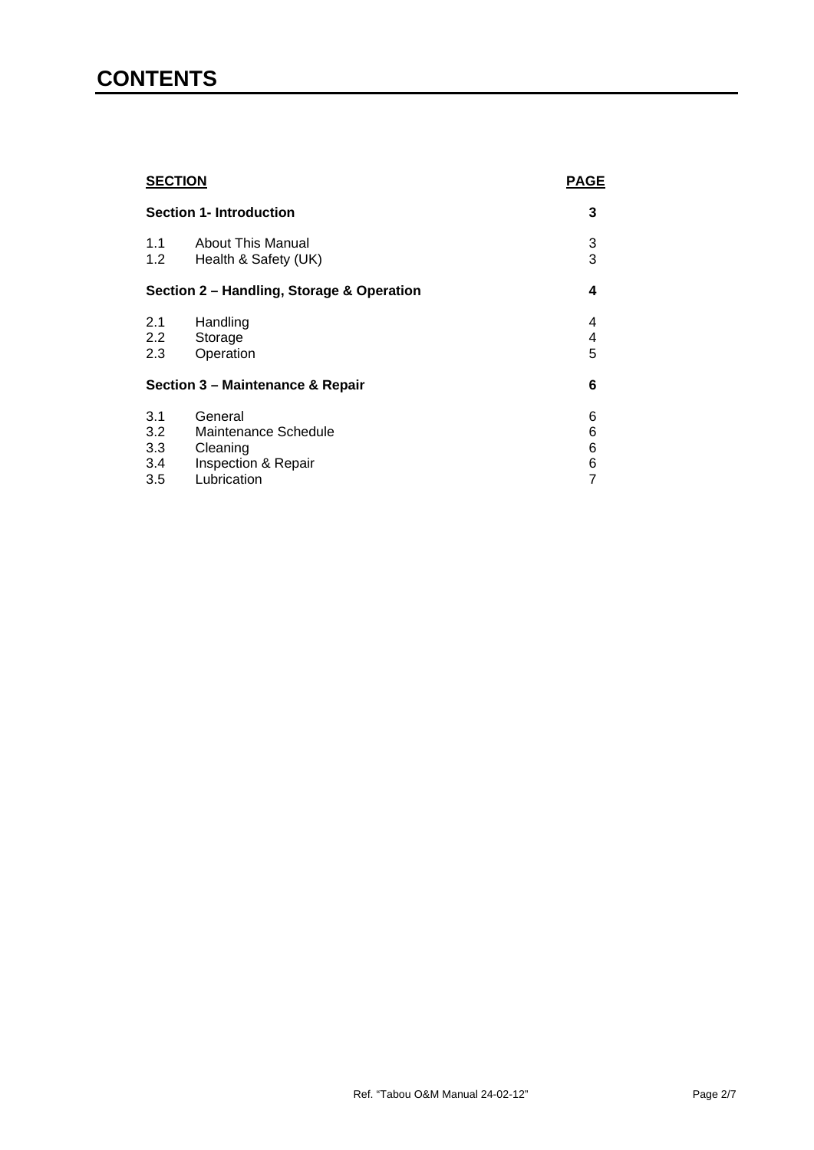#### **CONTENTS**

| <b>SECTION</b><br><b>Section 1- Introduction</b> |                          | <b>PAGE</b> |
|--------------------------------------------------|--------------------------|-------------|
|                                                  |                          | 3           |
| 1.1                                              | <b>About This Manual</b> | 3           |
| 1.2                                              | Health & Safety (UK)     | 3           |
| Section 2 - Handling, Storage & Operation        |                          | 4           |
| 2.1                                              | Handling                 | 4           |
| $2.2^{\circ}$                                    | Storage                  | 4           |
| 2.3                                              | Operation                | 5           |
| Section 3 - Maintenance & Repair                 |                          | 6           |
| 3.1                                              | General                  | 6           |
| 3.2                                              | Maintenance Schedule     | 6           |
| 3.3                                              | Cleaning                 | 6           |
| 3.4                                              | Inspection & Repair      | 6           |
| 3.5                                              | Lubrication              | 7           |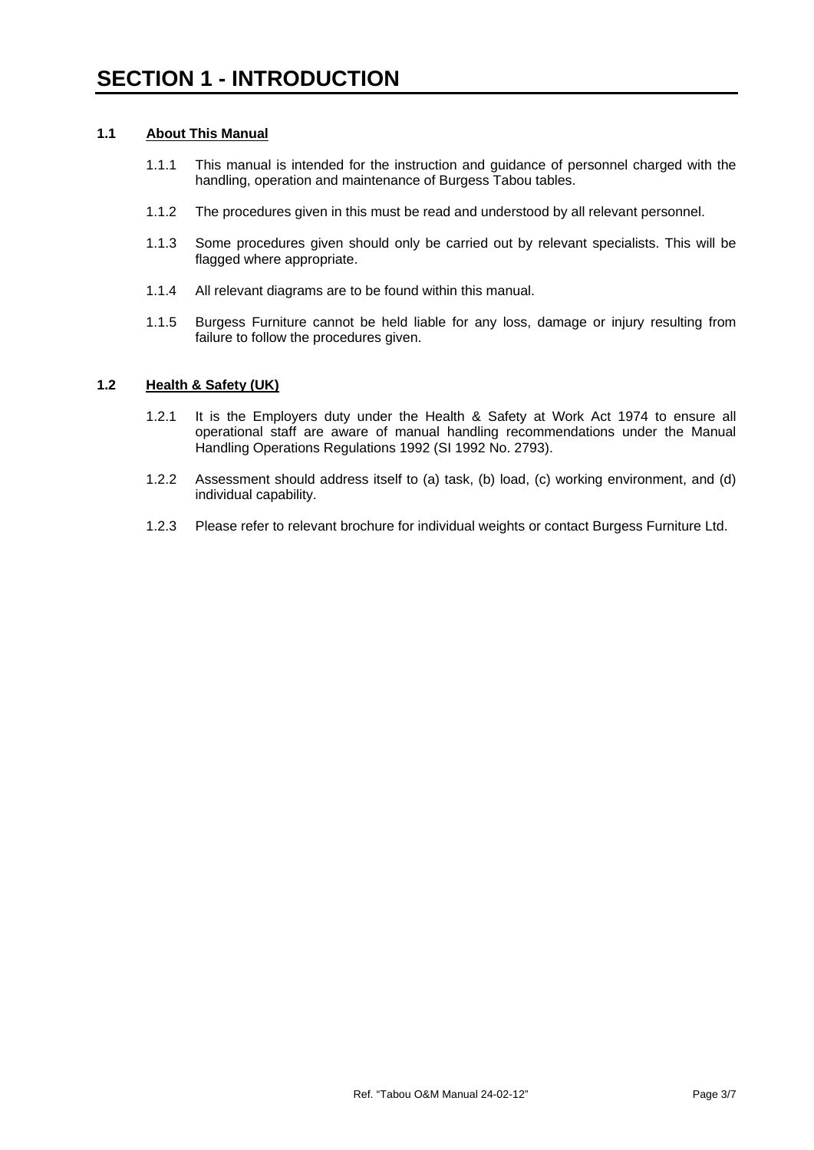#### **1.1 About This Manual**

- 1.1.1 This manual is intended for the instruction and guidance of personnel charged with the handling, operation and maintenance of Burgess Tabou tables.
- 1.1.2 The procedures given in this must be read and understood by all relevant personnel.
- 1.1.3 Some procedures given should only be carried out by relevant specialists. This will be flagged where appropriate.
- 1.1.4 All relevant diagrams are to be found within this manual.
- 1.1.5 Burgess Furniture cannot be held liable for any loss, damage or injury resulting from failure to follow the procedures given.

#### **1.2 Health & Safety (UK)**

- 1.2.1 It is the Employers duty under the Health & Safety at Work Act 1974 to ensure all operational staff are aware of manual handling recommendations under the Manual Handling Operations Regulations 1992 (SI 1992 No. 2793).
- 1.2.2 Assessment should address itself to (a) task, (b) load, (c) working environment, and (d) individual capability.
- 1.2.3 Please refer to relevant brochure for individual weights or contact Burgess Furniture Ltd.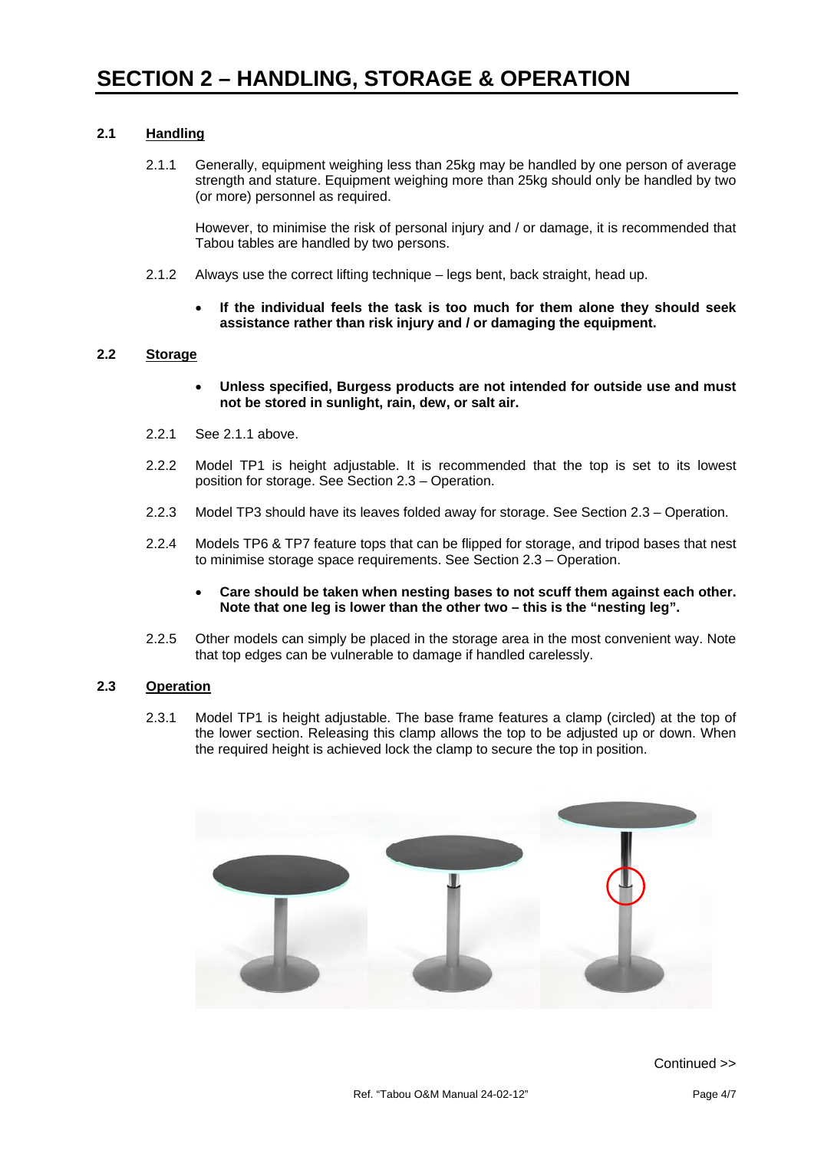#### **2.1 Handling**

2.1.1 Generally, equipment weighing less than 25kg may be handled by one person of average strength and stature. Equipment weighing more than 25kg should only be handled by two (or more) personnel as required.

However, to minimise the risk of personal injury and / or damage, it is recommended that Tabou tables are handled by two persons.

- 2.1.2 Always use the correct lifting technique legs bent, back straight, head up.
	- **If the individual feels the task is too much for them alone they should seek assistance rather than risk injury and / or damaging the equipment.**

#### **2.2 Storage**

- **Unless specified, Burgess products are not intended for outside use and must not be stored in sunlight, rain, dew, or salt air.**
- 2.2.1 See 2.1.1 above.
- 2.2.2 Model TP1 is height adjustable. It is recommended that the top is set to its lowest position for storage. See Section 2.3 – Operation.
- 2.2.3 Model TP3 should have its leaves folded away for storage. See Section 2.3 Operation.
- 2.2.4 Models TP6 & TP7 feature tops that can be flipped for storage, and tripod bases that nest to minimise storage space requirements. See Section 2.3 – Operation.
	- **Care should be taken when nesting bases to not scuff them against each other. Note that one leg is lower than the other two – this is the "nesting leg".**
- 2.2.5 Other models can simply be placed in the storage area in the most convenient way. Note that top edges can be vulnerable to damage if handled carelessly.

#### **2.3 Operation**

2.3.1 Model TP1 is height adjustable. The base frame features a clamp (circled) at the top of the lower section. Releasing this clamp allows the top to be adjusted up or down. When the required height is achieved lock the clamp to secure the top in position.

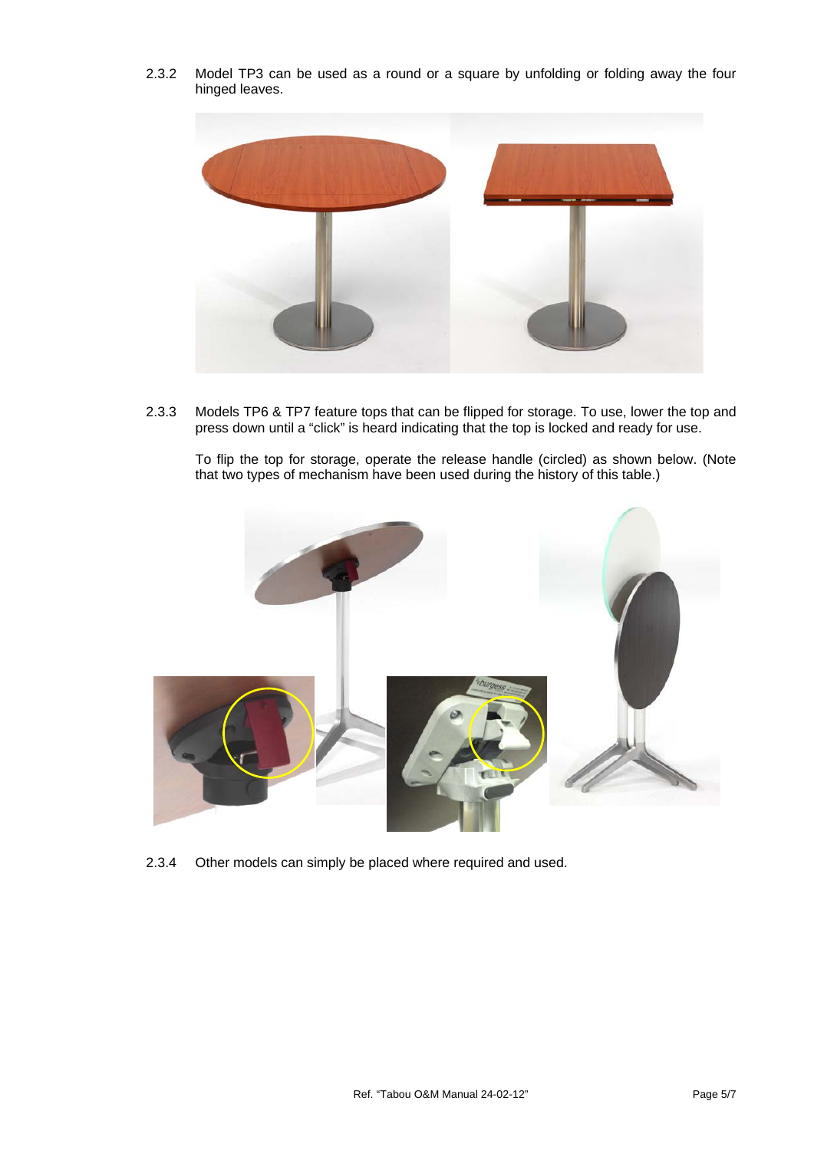

2.3.2 Model TP3 can be used as a round or a square by unfolding or folding away the four hinged leaves.

2.3.3 Models TP6 & TP7 feature tops that can be flipped for storage. To use, lower the top and press down until a "click" is heard indicating that the top is locked and ready for use.

To flip the top for storage, operate the release handle (circled) as shown below. (Note that two types of mechanism have been used during the history of this table.)



2.3.4 Other models can simply be placed where required and used.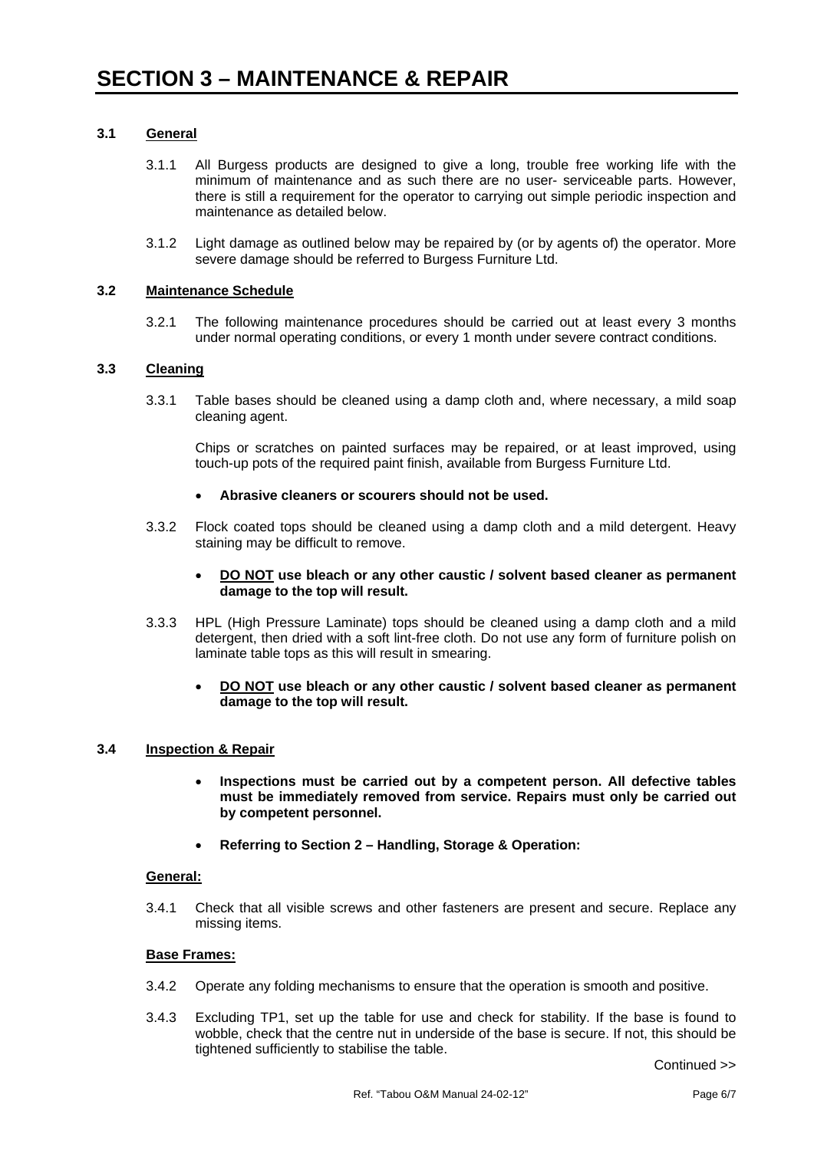#### **3.1 General**

- 3.1.1 All Burgess products are designed to give a long, trouble free working life with the minimum of maintenance and as such there are no user- serviceable parts. However, there is still a requirement for the operator to carrying out simple periodic inspection and maintenance as detailed below.
- 3.1.2 Light damage as outlined below may be repaired by (or by agents of) the operator. More severe damage should be referred to Burgess Furniture Ltd.

#### **3.2 Maintenance Schedule**

3.2.1 The following maintenance procedures should be carried out at least every 3 months under normal operating conditions, or every 1 month under severe contract conditions.

#### **3.3 Cleaning**

3.3.1 Table bases should be cleaned using a damp cloth and, where necessary, a mild soap cleaning agent.

Chips or scratches on painted surfaces may be repaired, or at least improved, using touch-up pots of the required paint finish, available from Burgess Furniture Ltd.

- **Abrasive cleaners or scourers should not be used.**
- 3.3.2 Flock coated tops should be cleaned using a damp cloth and a mild detergent. Heavy staining may be difficult to remove.
	- **DO NOT use bleach or any other caustic / solvent based cleaner as permanent damage to the top will result.**
- 3.3.3 HPL (High Pressure Laminate) tops should be cleaned using a damp cloth and a mild detergent, then dried with a soft lint-free cloth. Do not use any form of furniture polish on laminate table tops as this will result in smearing.
	- **DO NOT use bleach or any other caustic / solvent based cleaner as permanent damage to the top will result.**

#### **3.4 Inspection & Repair**

- **Inspections must be carried out by a competent person. All defective tables must be immediately removed from service. Repairs must only be carried out by competent personnel.**
- **Referring to Section 2 Handling, Storage & Operation:**

#### **General:**

3.4.1 Check that all visible screws and other fasteners are present and secure. Replace any missing items.

#### **Base Frames:**

- 3.4.2 Operate any folding mechanisms to ensure that the operation is smooth and positive.
- 3.4.3 Excluding TP1, set up the table for use and check for stability. If the base is found to wobble, check that the centre nut in underside of the base is secure. If not, this should be tightened sufficiently to stabilise the table.